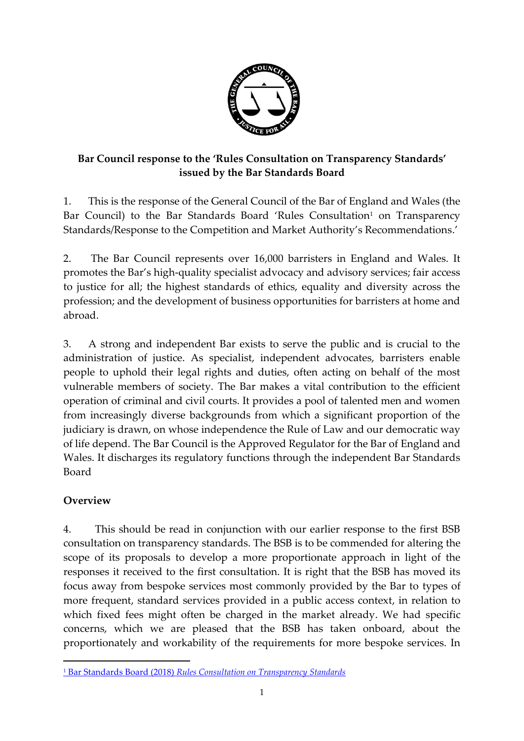

# **Bar Council response to the 'Rules Consultation on Transparency Standards' issued by the Bar Standards Board**

1. This is the response of the General Council of the Bar of England and Wales (the Bar Council) to the Bar Standards Board 'Rules Consultation<sup>1</sup> on Transparency Standards/Response to the Competition and Market Authority's Recommendations.'

2. The Bar Council represents over 16,000 barristers in England and Wales. It promotes the Bar's high-quality specialist advocacy and advisory services; fair access to justice for all; the highest standards of ethics, equality and diversity across the profession; and the development of business opportunities for barristers at home and abroad.

3. A strong and independent Bar exists to serve the public and is crucial to the administration of justice. As specialist, independent advocates, barristers enable people to uphold their legal rights and duties, often acting on behalf of the most vulnerable members of society. The Bar makes a vital contribution to the efficient operation of criminal and civil courts. It provides a pool of talented men and women from increasingly diverse backgrounds from which a significant proportion of the judiciary is drawn, on whose independence the Rule of Law and our democratic way of life depend. The Bar Council is the Approved Regulator for the Bar of England and Wales. It discharges its regulatory functions through the independent Bar Standards Board

# **Overview**

 $\overline{a}$ 

4. This should be read in conjunction with our earlier response to the first BSB consultation on transparency standards. The BSB is to be commended for altering the scope of its proposals to develop a more proportionate approach in light of the responses it received to the first consultation. It is right that the BSB has moved its focus away from bespoke services most commonly provided by the Bar to types of more frequent, standard services provided in a public access context, in relation to which fixed fees might often be charged in the market already. We had specific concerns, which we are pleased that the BSB has taken onboard, about the proportionately and workability of the requirements for more bespoke services. In

<sup>1</sup> Bar Standards Board (2018) *[Rules Consultation on Transparency Standards](https://www.barstandardsboard.org.uk/media/1952234/transparency_standards_rules_consultation_final.pdf)*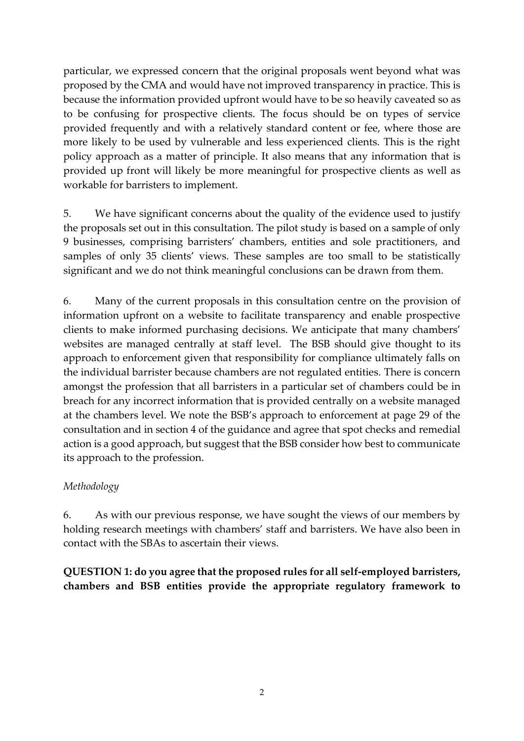particular, we expressed concern that the original proposals went beyond what was proposed by the CMA and would have not improved transparency in practice. This is because the information provided upfront would have to be so heavily caveated so as to be confusing for prospective clients. The focus should be on types of service provided frequently and with a relatively standard content or fee, where those are more likely to be used by vulnerable and less experienced clients. This is the right policy approach as a matter of principle. It also means that any information that is provided up front will likely be more meaningful for prospective clients as well as workable for barristers to implement.

5. We have significant concerns about the quality of the evidence used to justify the proposals set out in this consultation. The pilot study is based on a sample of only 9 businesses, comprising barristers' chambers, entities and sole practitioners, and samples of only 35 clients' views. These samples are too small to be statistically significant and we do not think meaningful conclusions can be drawn from them.

6. Many of the current proposals in this consultation centre on the provision of information upfront on a website to facilitate transparency and enable prospective clients to make informed purchasing decisions. We anticipate that many chambers' websites are managed centrally at staff level. The BSB should give thought to its approach to enforcement given that responsibility for compliance ultimately falls on the individual barrister because chambers are not regulated entities. There is concern amongst the profession that all barristers in a particular set of chambers could be in breach for any incorrect information that is provided centrally on a website managed at the chambers level. We note the BSB's approach to enforcement at page 29 of the consultation and in section 4 of the guidance and agree that spot checks and remedial action is a good approach, but suggest that the BSB consider how best to communicate its approach to the profession.

#### *Methodology*

6. As with our previous response, we have sought the views of our members by holding research meetings with chambers' staff and barristers. We have also been in contact with the SBAs to ascertain their views.

**QUESTION 1: do you agree that the proposed rules for all self-employed barristers, chambers and BSB entities provide the appropriate regulatory framework to**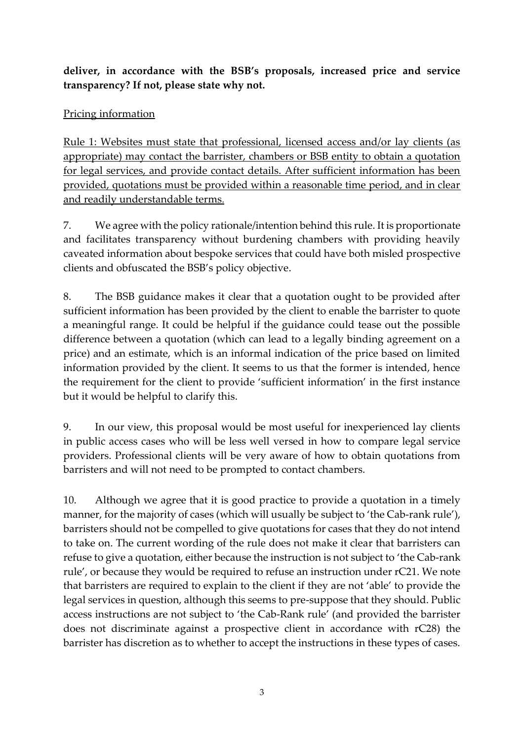**deliver, in accordance with the BSB's proposals, increased price and service transparency? If not, please state why not.**

# Pricing information

Rule 1: Websites must state that professional, licensed access and/or lay clients (as appropriate) may contact the barrister, chambers or BSB entity to obtain a quotation for legal services, and provide contact details. After sufficient information has been provided, quotations must be provided within a reasonable time period, and in clear and readily understandable terms.

7. We agree with the policy rationale/intention behind this rule. It is proportionate and facilitates transparency without burdening chambers with providing heavily caveated information about bespoke services that could have both misled prospective clients and obfuscated the BSB's policy objective.

8. The BSB guidance makes it clear that a quotation ought to be provided after sufficient information has been provided by the client to enable the barrister to quote a meaningful range. It could be helpful if the guidance could tease out the possible difference between a quotation (which can lead to a legally binding agreement on a price) and an estimate, which is an informal indication of the price based on limited information provided by the client. It seems to us that the former is intended, hence the requirement for the client to provide 'sufficient information' in the first instance but it would be helpful to clarify this.

9. In our view, this proposal would be most useful for inexperienced lay clients in public access cases who will be less well versed in how to compare legal service providers. Professional clients will be very aware of how to obtain quotations from barristers and will not need to be prompted to contact chambers.

10. Although we agree that it is good practice to provide a quotation in a timely manner, for the majority of cases (which will usually be subject to 'the Cab-rank rule'), barristers should not be compelled to give quotations for cases that they do not intend to take on. The current wording of the rule does not make it clear that barristers can refuse to give a quotation, either because the instruction is not subject to 'the Cab-rank rule', or because they would be required to refuse an instruction under rC21. We note that barristers are required to explain to the client if they are not 'able' to provide the legal services in question, although this seems to pre-suppose that they should. Public access instructions are not subject to 'the Cab-Rank rule' (and provided the barrister does not discriminate against a prospective client in accordance with rC28) the barrister has discretion as to whether to accept the instructions in these types of cases.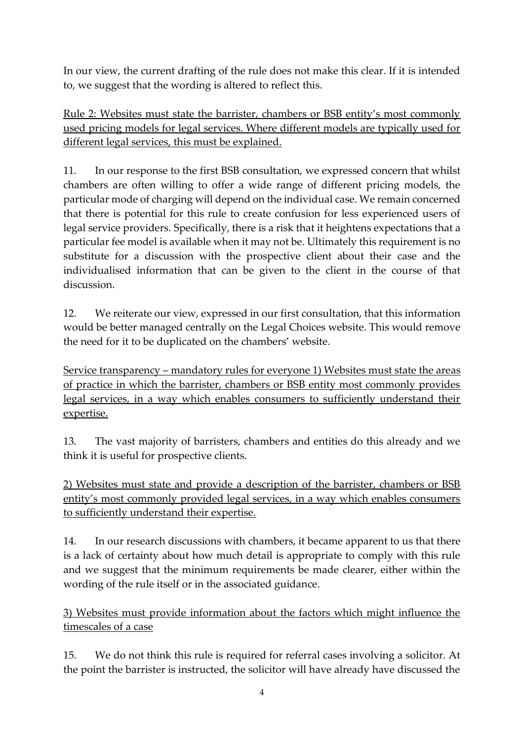In our view, the current drafting of the rule does not make this clear. If it is intended to, we suggest that the wording is altered to reflect this.

Rule 2: Websites must state the barrister, chambers or BSB entity's most commonly used pricing models for legal services. Where different models are typically used for different legal services, this must be explained.

11. In our response to the first BSB consultation, we expressed concern that whilst chambers are often willing to offer a wide range of different pricing models, the particular mode of charging will depend on the individual case. We remain concerned that there is potential for this rule to create confusion for less experienced users of legal service providers. Specifically, there is a risk that it heightens expectations that a particular fee model is available when it may not be. Ultimately this requirement is no substitute for a discussion with the prospective client about their case and the individualised information that can be given to the client in the course of that discussion.

12. We reiterate our view, expressed in our first consultation, that this information would be better managed centrally on the Legal Choices website. This would remove the need for it to be duplicated on the chambers' website.

Service transparency – mandatory rules for everyone 1) Websites must state the areas of practice in which the barrister, chambers or BSB entity most commonly provides legal services, in a way which enables consumers to sufficiently understand their expertise.

13. The vast majority of barristers, chambers and entities do this already and we think it is useful for prospective clients.

2) Websites must state and provide a description of the barrister, chambers or BSB entity's most commonly provided legal services, in a way which enables consumers to sufficiently understand their expertise.

14. In our research discussions with chambers, it became apparent to us that there is a lack of certainty about how much detail is appropriate to comply with this rule and we suggest that the minimum requirements be made clearer, either within the wording of the rule itself or in the associated guidance.

3) Websites must provide information about the factors which might influence the timescales of a case

15. We do not think this rule is required for referral cases involving a solicitor. At the point the barrister is instructed, the solicitor will have already have discussed the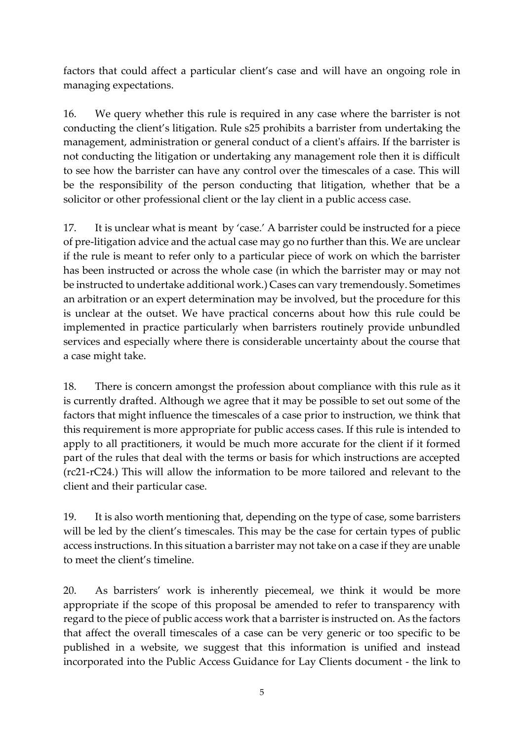factors that could affect a particular client's case and will have an ongoing role in managing expectations.

16. We query whether this rule is required in any case where the barrister is not conducting the client's litigation. Rule s25 prohibits a barrister from undertaking the management, administration or general conduct of a client's affairs. If the barrister is not conducting the litigation or undertaking any management role then it is difficult to see how the barrister can have any control over the timescales of a case. This will be the responsibility of the person conducting that litigation, whether that be a solicitor or other professional client or the lay client in a public access case.

17. It is unclear what is meant by 'case.' A barrister could be instructed for a piece of pre-litigation advice and the actual case may go no further than this. We are unclear if the rule is meant to refer only to a particular piece of work on which the barrister has been instructed or across the whole case (in which the barrister may or may not be instructed to undertake additional work.) Cases can vary tremendously. Sometimes an arbitration or an expert determination may be involved, but the procedure for this is unclear at the outset. We have practical concerns about how this rule could be implemented in practice particularly when barristers routinely provide unbundled services and especially where there is considerable uncertainty about the course that a case might take.

18. There is concern amongst the profession about compliance with this rule as it is currently drafted. Although we agree that it may be possible to set out some of the factors that might influence the timescales of a case prior to instruction, we think that this requirement is more appropriate for public access cases. If this rule is intended to apply to all practitioners, it would be much more accurate for the client if it formed part of the rules that deal with the terms or basis for which instructions are accepted (rc21-rC24.) This will allow the information to be more tailored and relevant to the client and their particular case.

19. It is also worth mentioning that, depending on the type of case, some barristers will be led by the client's timescales. This may be the case for certain types of public access instructions. In this situation a barrister may not take on a case if they are unable to meet the client's timeline.

20. As barristers' work is inherently piecemeal, we think it would be more appropriate if the scope of this proposal be amended to refer to transparency with regard to the piece of public access work that a barrister is instructed on. As the factors that affect the overall timescales of a case can be very generic or too specific to be published in a website, we suggest that this information is unified and instead incorporated into the Public Access Guidance for Lay Clients document - the link to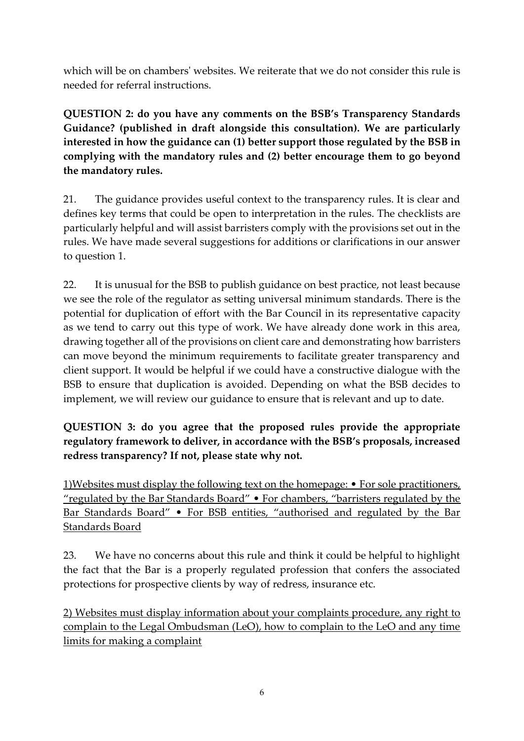which will be on chambers' websites. We reiterate that we do not consider this rule is needed for referral instructions.

**QUESTION 2: do you have any comments on the BSB's Transparency Standards Guidance? (published in draft alongside this consultation). We are particularly interested in how the guidance can (1) better support those regulated by the BSB in complying with the mandatory rules and (2) better encourage them to go beyond the mandatory rules.**

21. The guidance provides useful context to the transparency rules. It is clear and defines key terms that could be open to interpretation in the rules. The checklists are particularly helpful and will assist barristers comply with the provisions set out in the rules. We have made several suggestions for additions or clarifications in our answer to question 1.

22. It is unusual for the BSB to publish guidance on best practice, not least because we see the role of the regulator as setting universal minimum standards. There is the potential for duplication of effort with the Bar Council in its representative capacity as we tend to carry out this type of work. We have already done work in this area, drawing together all of the provisions on client care and demonstrating how barristers can move beyond the minimum requirements to facilitate greater transparency and client support. It would be helpful if we could have a constructive dialogue with the BSB to ensure that duplication is avoided. Depending on what the BSB decides to implement, we will review our guidance to ensure that is relevant and up to date.

**QUESTION 3: do you agree that the proposed rules provide the appropriate regulatory framework to deliver, in accordance with the BSB's proposals, increased redress transparency? If not, please state why not.**

1)Websites must display the following text on the homepage: • For sole practitioners, "regulated by the Bar Standards Board" • For chambers, "barristers regulated by the Bar Standards Board" • For BSB entities, "authorised and regulated by the Bar Standards Board

23. We have no concerns about this rule and think it could be helpful to highlight the fact that the Bar is a properly regulated profession that confers the associated protections for prospective clients by way of redress, insurance etc.

2) Websites must display information about your complaints procedure, any right to complain to the Legal Ombudsman (LeO), how to complain to the LeO and any time limits for making a complaint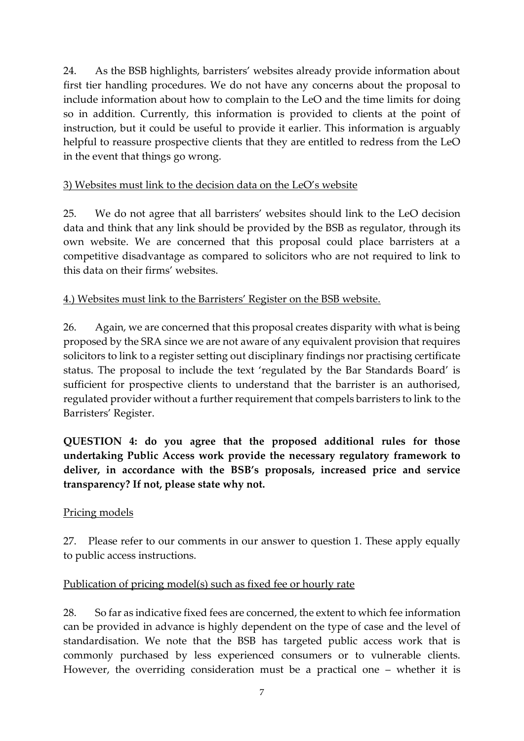24. As the BSB highlights, barristers' websites already provide information about first tier handling procedures. We do not have any concerns about the proposal to include information about how to complain to the LeO and the time limits for doing so in addition. Currently, this information is provided to clients at the point of instruction, but it could be useful to provide it earlier. This information is arguably helpful to reassure prospective clients that they are entitled to redress from the LeO in the event that things go wrong.

### 3) Websites must link to the decision data on the LeO's website

25. We do not agree that all barristers' websites should link to the LeO decision data and think that any link should be provided by the BSB as regulator, through its own website. We are concerned that this proposal could place barristers at a competitive disadvantage as compared to solicitors who are not required to link to this data on their firms' websites.

### 4.) Websites must link to the Barristers' Register on the BSB website.

26. Again, we are concerned that this proposal creates disparity with what is being proposed by the SRA since we are not aware of any equivalent provision that requires solicitors to link to a register setting out disciplinary findings nor practising certificate status. The proposal to include the text 'regulated by the Bar Standards Board' is sufficient for prospective clients to understand that the barrister is an authorised, regulated provider without a further requirement that compels barristers to link to the Barristers' Register.

**QUESTION 4: do you agree that the proposed additional rules for those undertaking Public Access work provide the necessary regulatory framework to deliver, in accordance with the BSB's proposals, increased price and service transparency? If not, please state why not.**

#### Pricing models

27. Please refer to our comments in our answer to question 1. These apply equally to public access instructions.

# Publication of pricing model(s) such as fixed fee or hourly rate

28. So far as indicative fixed fees are concerned, the extent to which fee information can be provided in advance is highly dependent on the type of case and the level of standardisation. We note that the BSB has targeted public access work that is commonly purchased by less experienced consumers or to vulnerable clients. However, the overriding consideration must be a practical one – whether it is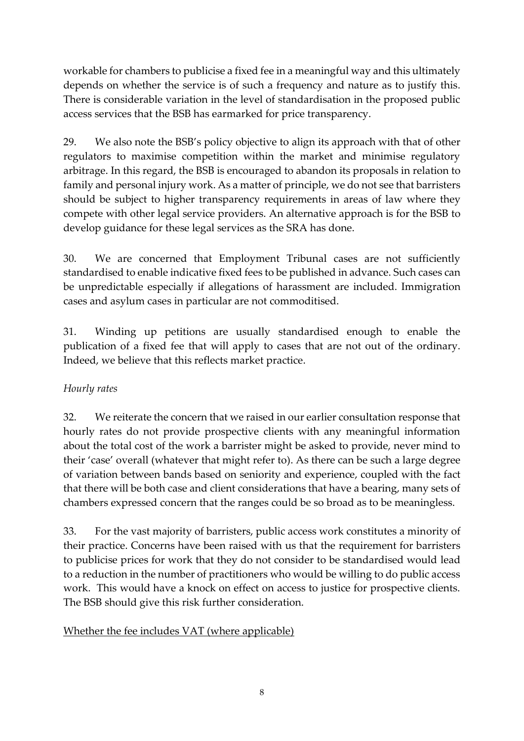workable for chambers to publicise a fixed fee in a meaningful way and this ultimately depends on whether the service is of such a frequency and nature as to justify this. There is considerable variation in the level of standardisation in the proposed public access services that the BSB has earmarked for price transparency.

29. We also note the BSB's policy objective to align its approach with that of other regulators to maximise competition within the market and minimise regulatory arbitrage. In this regard, the BSB is encouraged to abandon its proposals in relation to family and personal injury work. As a matter of principle, we do not see that barristers should be subject to higher transparency requirements in areas of law where they compete with other legal service providers. An alternative approach is for the BSB to develop guidance for these legal services as the SRA has done.

30. We are concerned that Employment Tribunal cases are not sufficiently standardised to enable indicative fixed fees to be published in advance. Such cases can be unpredictable especially if allegations of harassment are included. Immigration cases and asylum cases in particular are not commoditised.

31. Winding up petitions are usually standardised enough to enable the publication of a fixed fee that will apply to cases that are not out of the ordinary. Indeed, we believe that this reflects market practice.

# *Hourly rates*

32. We reiterate the concern that we raised in our earlier consultation response that hourly rates do not provide prospective clients with any meaningful information about the total cost of the work a barrister might be asked to provide, never mind to their 'case' overall (whatever that might refer to). As there can be such a large degree of variation between bands based on seniority and experience, coupled with the fact that there will be both case and client considerations that have a bearing, many sets of chambers expressed concern that the ranges could be so broad as to be meaningless.

33. For the vast majority of barristers, public access work constitutes a minority of their practice. Concerns have been raised with us that the requirement for barristers to publicise prices for work that they do not consider to be standardised would lead to a reduction in the number of practitioners who would be willing to do public access work. This would have a knock on effect on access to justice for prospective clients. The BSB should give this risk further consideration.

# Whether the fee includes VAT (where applicable)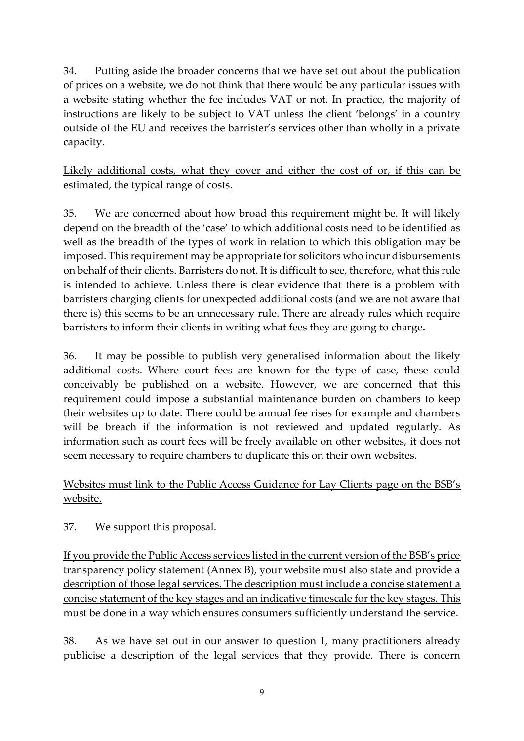34. Putting aside the broader concerns that we have set out about the publication of prices on a website, we do not think that there would be any particular issues with a website stating whether the fee includes VAT or not. In practice, the majority of instructions are likely to be subject to VAT unless the client 'belongs' in a country outside of the EU and receives the barrister's services other than wholly in a private capacity.

Likely additional costs, what they cover and either the cost of or, if this can be estimated, the typical range of costs.

35. We are concerned about how broad this requirement might be. It will likely depend on the breadth of the 'case' to which additional costs need to be identified as well as the breadth of the types of work in relation to which this obligation may be imposed. This requirement may be appropriate for solicitors who incur disbursements on behalf of their clients. Barristers do not. It is difficult to see, therefore, what this rule is intended to achieve. Unless there is clear evidence that there is a problem with barristers charging clients for unexpected additional costs (and we are not aware that there is) this seems to be an unnecessary rule. There are already rules which require barristers to inform their clients in writing what fees they are going to charge**.**

36. It may be possible to publish very generalised information about the likely additional costs. Where court fees are known for the type of case, these could conceivably be published on a website. However, we are concerned that this requirement could impose a substantial maintenance burden on chambers to keep their websites up to date. There could be annual fee rises for example and chambers will be breach if the information is not reviewed and updated regularly. As information such as court fees will be freely available on other websites, it does not seem necessary to require chambers to duplicate this on their own websites.

# Websites must link to the Public Access Guidance for Lay Clients page on the BSB's website.

37. We support this proposal.

If you provide the Public Access services listed in the current version of the BSB's price transparency policy statement (Annex B), your website must also state and provide a description of those legal services. The description must include a concise statement a concise statement of the key stages and an indicative timescale for the key stages. This must be done in a way which ensures consumers sufficiently understand the service.

38. As we have set out in our answer to question 1, many practitioners already publicise a description of the legal services that they provide. There is concern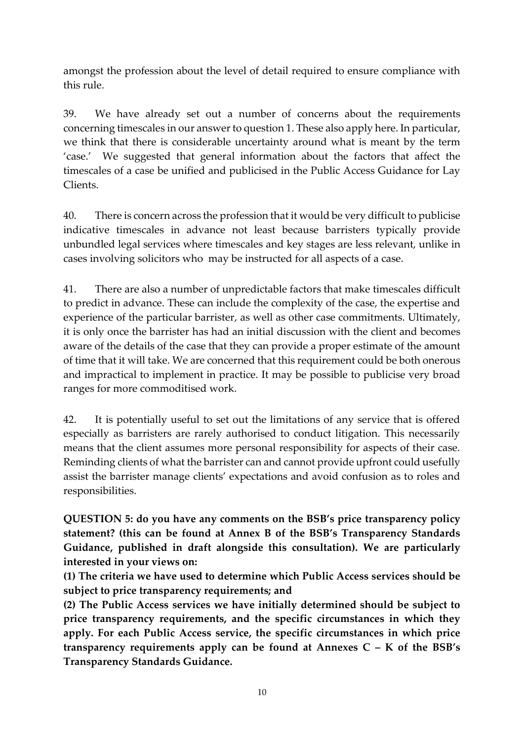amongst the profession about the level of detail required to ensure compliance with this rule.

39. We have already set out a number of concerns about the requirements concerning timescales in our answer to question 1. These also apply here. In particular, we think that there is considerable uncertainty around what is meant by the term 'case.' We suggested that general information about the factors that affect the timescales of a case be unified and publicised in the Public Access Guidance for Lay Clients.

40. There is concern across the profession that it would be very difficult to publicise indicative timescales in advance not least because barristers typically provide unbundled legal services where timescales and key stages are less relevant, unlike in cases involving solicitors who may be instructed for all aspects of a case.

41. There are also a number of unpredictable factors that make timescales difficult to predict in advance. These can include the complexity of the case, the expertise and experience of the particular barrister, as well as other case commitments. Ultimately, it is only once the barrister has had an initial discussion with the client and becomes aware of the details of the case that they can provide a proper estimate of the amount of time that it will take. We are concerned that this requirement could be both onerous and impractical to implement in practice. It may be possible to publicise very broad ranges for more commoditised work.

42. It is potentially useful to set out the limitations of any service that is offered especially as barristers are rarely authorised to conduct litigation. This necessarily means that the client assumes more personal responsibility for aspects of their case. Reminding clients of what the barrister can and cannot provide upfront could usefully assist the barrister manage clients' expectations and avoid confusion as to roles and responsibilities.

**QUESTION 5: do you have any comments on the BSB's price transparency policy statement? (this can be found at Annex B of the BSB's Transparency Standards Guidance, published in draft alongside this consultation). We are particularly interested in your views on:**

**(1) The criteria we have used to determine which Public Access services should be subject to price transparency requirements; and**

**(2) The Public Access services we have initially determined should be subject to price transparency requirements, and the specific circumstances in which they apply. For each Public Access service, the specific circumstances in which price transparency requirements apply can be found at Annexes C – K of the BSB's Transparency Standards Guidance.**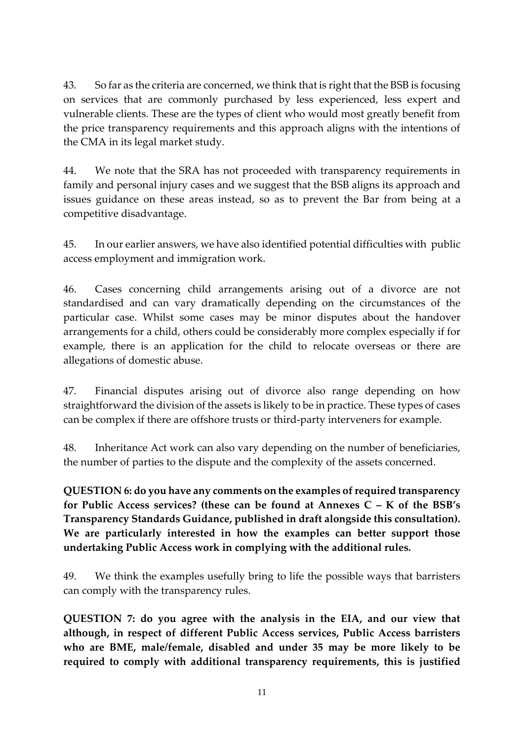43. So far as the criteria are concerned, we think that is right that the BSB is focusing on services that are commonly purchased by less experienced, less expert and vulnerable clients. These are the types of client who would most greatly benefit from the price transparency requirements and this approach aligns with the intentions of the CMA in its legal market study.

44. We note that the SRA has not proceeded with transparency requirements in family and personal injury cases and we suggest that the BSB aligns its approach and issues guidance on these areas instead, so as to prevent the Bar from being at a competitive disadvantage.

45. In our earlier answers, we have also identified potential difficulties with public access employment and immigration work.

46. Cases concerning child arrangements arising out of a divorce are not standardised and can vary dramatically depending on the circumstances of the particular case. Whilst some cases may be minor disputes about the handover arrangements for a child, others could be considerably more complex especially if for example, there is an application for the child to relocate overseas or there are allegations of domestic abuse.

47. Financial disputes arising out of divorce also range depending on how straightforward the division of the assets is likely to be in practice. These types of cases can be complex if there are offshore trusts or third-party interveners for example.

48. Inheritance Act work can also vary depending on the number of beneficiaries, the number of parties to the dispute and the complexity of the assets concerned.

**QUESTION 6: do you have any comments on the examples of required transparency for Public Access services? (these can be found at Annexes C – K of the BSB's Transparency Standards Guidance, published in draft alongside this consultation). We are particularly interested in how the examples can better support those undertaking Public Access work in complying with the additional rules.**

49. We think the examples usefully bring to life the possible ways that barristers can comply with the transparency rules.

**QUESTION 7: do you agree with the analysis in the EIA, and our view that although, in respect of different Public Access services, Public Access barristers who are BME, male/female, disabled and under 35 may be more likely to be required to comply with additional transparency requirements, this is justified**